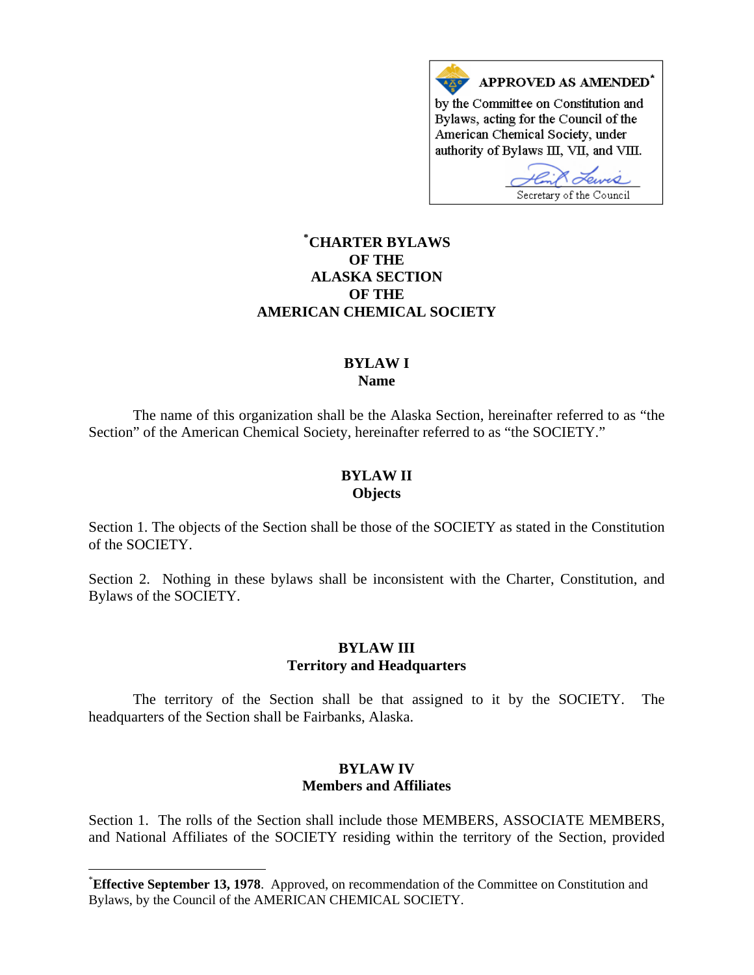

# **[\\*](#page-0-0) CHARTER BYLAWS OF THE ALASKA SECTION OF THE AMERICAN CHEMICAL SOCIETY**

#### **BYLAW I Name**

The name of this organization shall be the Alaska Section, hereinafter referred to as "the Section" of the American Chemical Society, hereinafter referred to as "the SOCIETY."

#### **BYLAW II Objects**

Section 1. The objects of the Section shall be those of the SOCIETY as stated in the Constitution of the SOCIETY.

Section 2. Nothing in these bylaws shall be inconsistent with the Charter, Constitution, and Bylaws of the SOCIETY.

### **BYLAW III Territory and Headquarters**

 The territory of the Section shall be that assigned to it by the SOCIETY. The headquarters of the Section shall be Fairbanks, Alaska.

#### **BYLAW IV Members and Affiliates**

Section 1. The rolls of the Section shall include those MEMBERS, ASSOCIATE MEMBERS, and National Affiliates of the SOCIETY residing within the territory of the Section, provided

l

<span id="page-0-0"></span><sup>\*</sup> **Effective September 13, 1978**. Approved, on recommendation of the Committee on Constitution and Bylaws, by the Council of the AMERICAN CHEMICAL SOCIETY.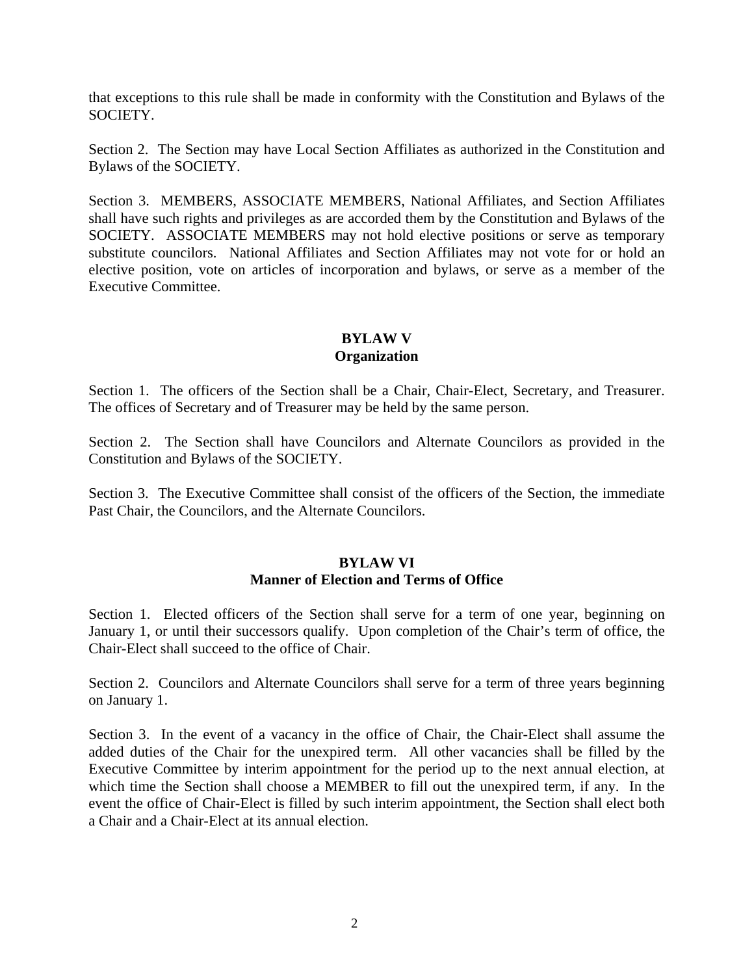that exceptions to this rule shall be made in conformity with the Constitution and Bylaws of the SOCIETY.

Section 2. The Section may have Local Section Affiliates as authorized in the Constitution and Bylaws of the SOCIETY.

Section 3. MEMBERS, ASSOCIATE MEMBERS, National Affiliates, and Section Affiliates shall have such rights and privileges as are accorded them by the Constitution and Bylaws of the SOCIETY. ASSOCIATE MEMBERS may not hold elective positions or serve as temporary substitute councilors. National Affiliates and Section Affiliates may not vote for or hold an elective position, vote on articles of incorporation and bylaws, or serve as a member of the Executive Committee.

## **BYLAW V Organization**

Section 1. The officers of the Section shall be a Chair, Chair-Elect, Secretary, and Treasurer. The offices of Secretary and of Treasurer may be held by the same person.

Section 2. The Section shall have Councilors and Alternate Councilors as provided in the Constitution and Bylaws of the SOCIETY.

Section 3. The Executive Committee shall consist of the officers of the Section, the immediate Past Chair, the Councilors, and the Alternate Councilors.

### **BYLAW VI Manner of Election and Terms of Office**

Section 1. Elected officers of the Section shall serve for a term of one year, beginning on January 1, or until their successors qualify. Upon completion of the Chair's term of office, the Chair-Elect shall succeed to the office of Chair.

Section 2. Councilors and Alternate Councilors shall serve for a term of three years beginning on January 1.

Section 3. In the event of a vacancy in the office of Chair, the Chair-Elect shall assume the added duties of the Chair for the unexpired term. All other vacancies shall be filled by the Executive Committee by interim appointment for the period up to the next annual election, at which time the Section shall choose a MEMBER to fill out the unexpired term, if any. In the event the office of Chair-Elect is filled by such interim appointment, the Section shall elect both a Chair and a Chair-Elect at its annual election.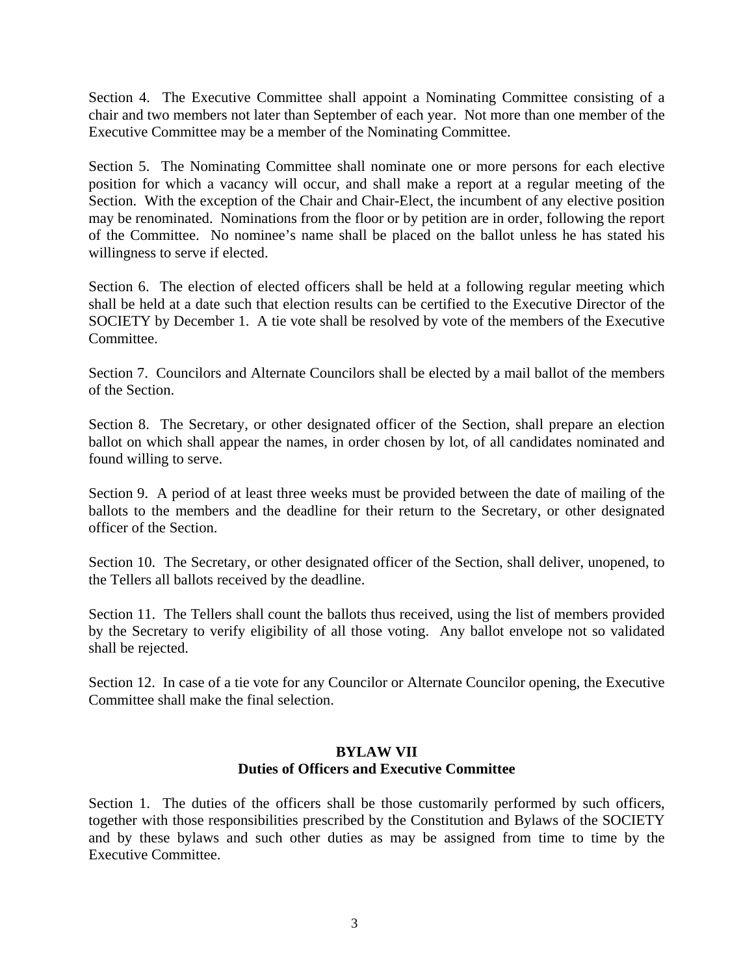Section 4. The Executive Committee shall appoint a Nominating Committee consisting of a chair and two members not later than September of each year. Not more than one member of the Executive Committee may be a member of the Nominating Committee.

Section 5. The Nominating Committee shall nominate one or more persons for each elective position for which a vacancy will occur, and shall make a report at a regular meeting of the Section. With the exception of the Chair and Chair-Elect, the incumbent of any elective position may be renominated. Nominations from the floor or by petition are in order, following the report of the Committee. No nominee's name shall be placed on the ballot unless he has stated his willingness to serve if elected.

Section 6. The election of elected officers shall be held at a following regular meeting which shall be held at a date such that election results can be certified to the Executive Director of the SOCIETY by December 1. A tie vote shall be resolved by vote of the members of the Executive Committee.

Section 7. Councilors and Alternate Councilors shall be elected by a mail ballot of the members of the Section.

Section 8. The Secretary, or other designated officer of the Section, shall prepare an election ballot on which shall appear the names, in order chosen by lot, of all candidates nominated and found willing to serve.

Section 9. A period of at least three weeks must be provided between the date of mailing of the ballots to the members and the deadline for their return to the Secretary, or other designated officer of the Section.

Section 10. The Secretary, or other designated officer of the Section, shall deliver, unopened, to the Tellers all ballots received by the deadline.

Section 11. The Tellers shall count the ballots thus received, using the list of members provided by the Secretary to verify eligibility of all those voting. Any ballot envelope not so validated shall be rejected.

Section 12. In case of a tie vote for any Councilor or Alternate Councilor opening, the Executive Committee shall make the final selection.

## **BYLAW VII Duties of Officers and Executive Committee**

Section 1. The duties of the officers shall be those customarily performed by such officers, together with those responsibilities prescribed by the Constitution and Bylaws of the SOCIETY and by these bylaws and such other duties as may be assigned from time to time by the Executive Committee.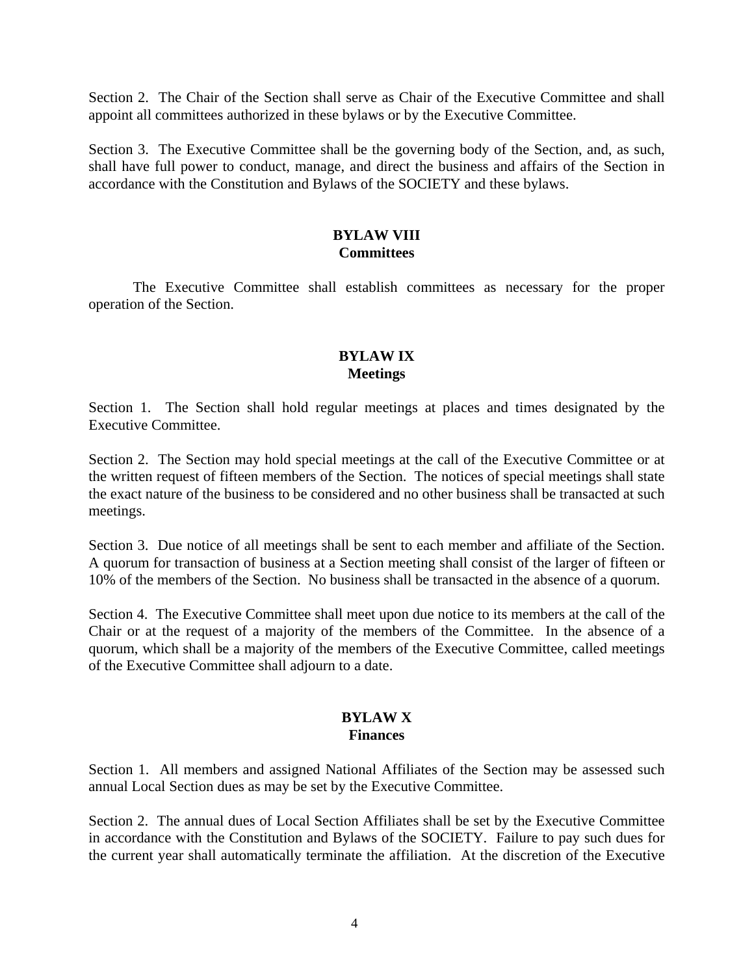Section 2. The Chair of the Section shall serve as Chair of the Executive Committee and shall appoint all committees authorized in these bylaws or by the Executive Committee.

Section 3. The Executive Committee shall be the governing body of the Section, and, as such, shall have full power to conduct, manage, and direct the business and affairs of the Section in accordance with the Constitution and Bylaws of the SOCIETY and these bylaws.

### **BYLAW VIII Committees**

 The Executive Committee shall establish committees as necessary for the proper operation of the Section.

# **BYLAW IX Meetings**

Section 1. The Section shall hold regular meetings at places and times designated by the Executive Committee.

Section 2. The Section may hold special meetings at the call of the Executive Committee or at the written request of fifteen members of the Section. The notices of special meetings shall state the exact nature of the business to be considered and no other business shall be transacted at such meetings.

Section 3. Due notice of all meetings shall be sent to each member and affiliate of the Section. A quorum for transaction of business at a Section meeting shall consist of the larger of fifteen or 10% of the members of the Section. No business shall be transacted in the absence of a quorum.

Section 4. The Executive Committee shall meet upon due notice to its members at the call of the Chair or at the request of a majority of the members of the Committee. In the absence of a quorum, which shall be a majority of the members of the Executive Committee, called meetings of the Executive Committee shall adjourn to a date.

#### **BYLAW X Finances**

Section 1. All members and assigned National Affiliates of the Section may be assessed such annual Local Section dues as may be set by the Executive Committee.

Section 2. The annual dues of Local Section Affiliates shall be set by the Executive Committee in accordance with the Constitution and Bylaws of the SOCIETY. Failure to pay such dues for the current year shall automatically terminate the affiliation. At the discretion of the Executive